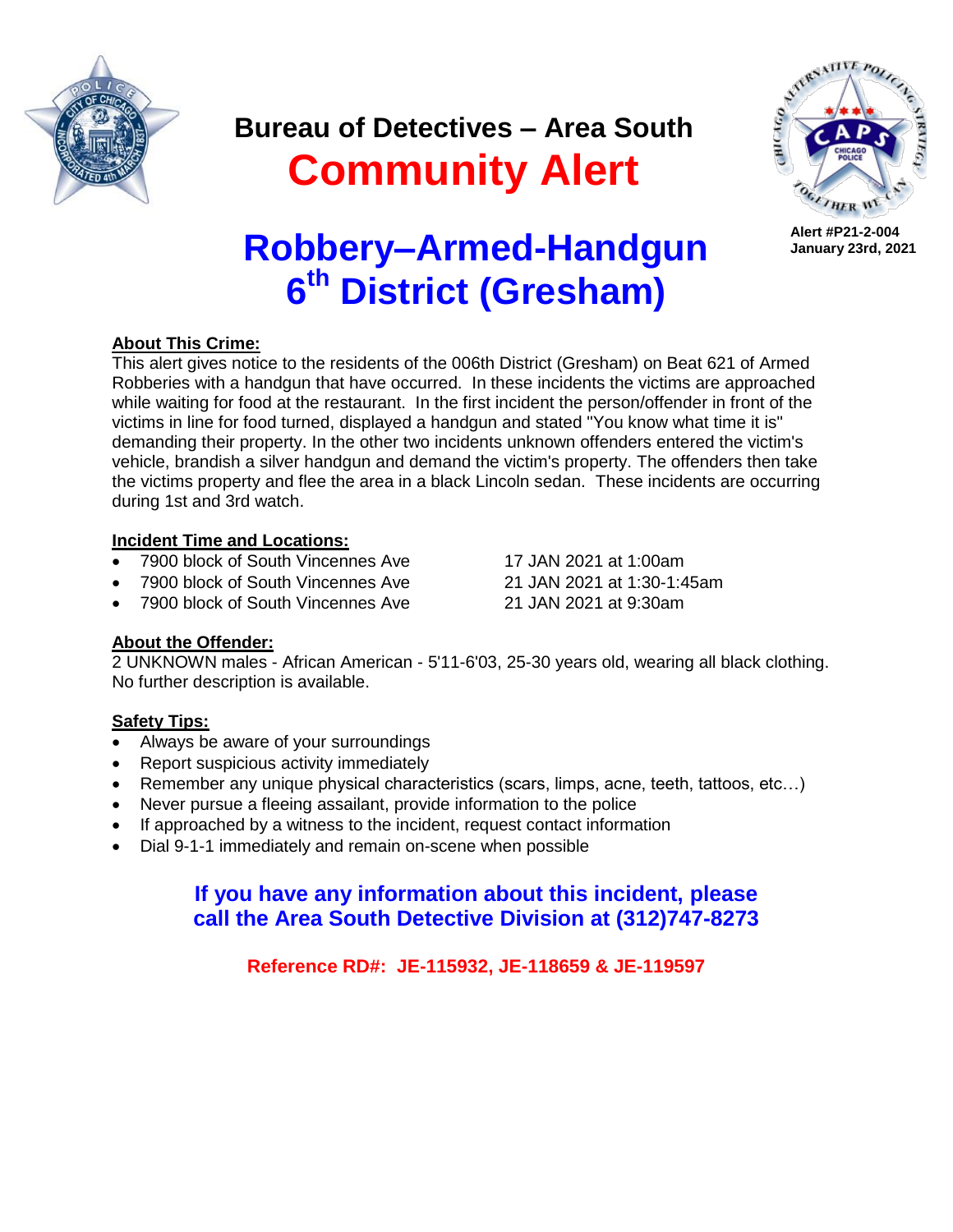

### **Bureau of Detectives – Area South Community Alert**



**Alert #P21-2-004 January 23rd, 2021**

# **Robbery–Armed-Handgun 6 th District (Gresham)**

### **About This Crime:**

This alert gives notice to the residents of the 006th District (Gresham) on Beat 621 of Armed Robberies with a handgun that have occurred. In these incidents the victims are approached while waiting for food at the restaurant. In the first incident the person/offender in front of the victims in line for food turned, displayed a handgun and stated "You know what time it is" demanding their property. In the other two incidents unknown offenders entered the victim's vehicle, brandish a silver handgun and demand the victim's property. The offenders then take the victims property and flee the area in a black Lincoln sedan. These incidents are occurring during 1st and 3rd watch.

### **Incident Time and Locations:**

- 7900 block of South Vincennes Ave 17 JAN 2021 at 1:00am
- 7900 block of South Vincennes Ave 21 JAN 2021 at 1:30-1:45am
- 7900 block of South Vincennes Ave 21 JAN 2021 at 9:30am

### **About the Offender:**

2 UNKNOWN males - African American - 5'11-6'03, 25-30 years old, wearing all black clothing. No further description is available.

### **Safety Tips:**

- Always be aware of your surroundings
- Report suspicious activity immediately
- Remember any unique physical characteristics (scars, limps, acne, teeth, tattoos, etc…)
- Never pursue a fleeing assailant, provide information to the police
- If approached by a witness to the incident, request contact information
- Dial 9-1-1 immediately and remain on-scene when possible

### **If you have any information about this incident, please call the Area South Detective Division at (312)747-8273**

**Reference RD#: JE-115932, JE-118659 & JE-119597**